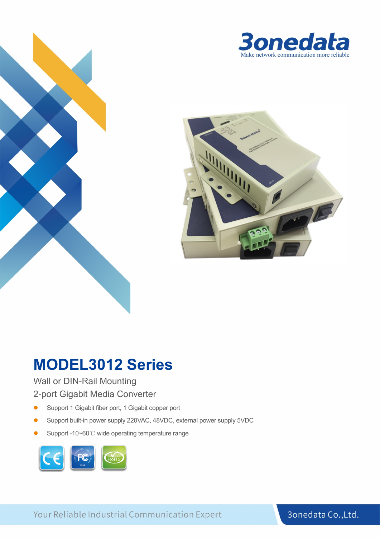



# **MODEL3012 Series**

#### Wall or DIN-Rail Mounting

#### 2-port Gigabit Media Converter

- **•** Support 1 Gigabit fiber port, 1 Gigabit copper port
- Support built-in power supply 220VAC, 48VDC, external power supply 5VDC
- Support -10~60℃ wide operating temperature range



Your Reliable Industrial Communication Expert

#### 3onedata Co., Ltd.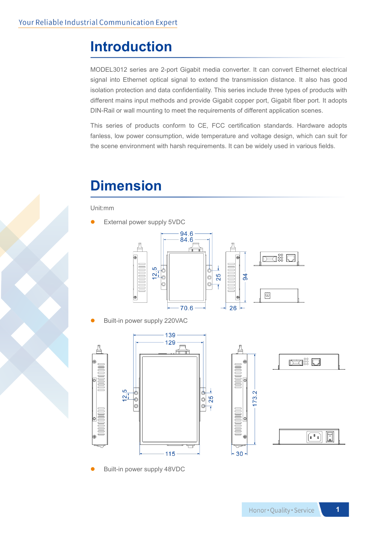### **Introduction**

MODEL3012 series are 2-port Gigabit media converter. It can convert Ethernet electrical signal into Ethernet optical signal to extend the transmission distance. It also has good isolation protection and data confidentiality. This series include three types of products with different mains input methods and provide Gigabit copper port, Gigabit fiber port. It adopts DIN-Rail or wall mounting to meet the requirements of different application scenes.

This series of products conform to CE, FCC certification standards. Hardware adopts fanless, low power consumption, wide temperature and voltage design, which can suit for the scene environment with harsh requirements. It can be widely used in various fields.

## **Dimension**

Unit:mm

External power supply 5VDC



Built-in power supply 220VAC







Built-in power supply 48VDC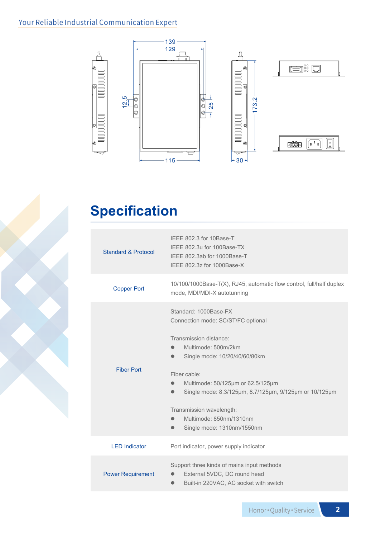### Your Reliable Industrial Communication Expert



# **Specification**

| <b>Standard &amp; Protocol</b> | IFFF 802.3 for 10Base-T<br>IFFF 802.3u for 100Base-TX<br>IEEE 802.3ab for 1000Base-T<br>IEEE 802.3z for 1000Base-X                                                                                                                                                                                                                                                                                                 |  |  |
|--------------------------------|--------------------------------------------------------------------------------------------------------------------------------------------------------------------------------------------------------------------------------------------------------------------------------------------------------------------------------------------------------------------------------------------------------------------|--|--|
| <b>Copper Port</b>             | 10/100/1000Base-T(X), RJ45, automatic flow control, full/half duplex<br>mode, MDI/MDI-X autotunning                                                                                                                                                                                                                                                                                                                |  |  |
| <b>Fiber Port</b>              | Standard: 1000Base-FX<br>Connection mode: SC/ST/FC optional<br>Transmission distance:<br>Multimode: 500m/2km<br>$\bullet$<br>Single mode: 10/20/40/60/80km<br>$\bullet$<br>Fiber cable:<br>Multimode: 50/125µm or 62.5/125µm<br>$\bullet$<br>Single mode: 8.3/125µm, 8.7/125µm, 9/125µm or 10/125µm<br>$\bullet$<br>Transmission wavelength:<br>Multimode: 850nm/1310nm<br>$\bullet$<br>Single mode: 1310nm/1550nm |  |  |
| <b>LED Indicator</b>           | Port indicator, power supply indicator                                                                                                                                                                                                                                                                                                                                                                             |  |  |
| <b>Power Requirement</b>       | Support three kinds of mains input methods<br>External 5VDC, DC round head<br>$\bullet$<br>Built-in 220VAC, AC socket with switch<br>$\bullet$                                                                                                                                                                                                                                                                     |  |  |

**2**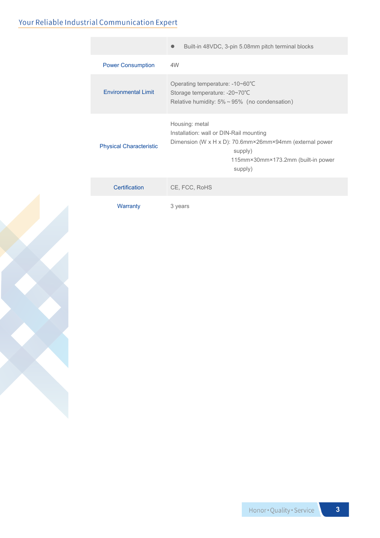### Your Reliable Industrial Communication Expert

|                                | Built-in 48VDC, 3-pin 5.08mm pitch terminal blocks                                                                                                                               |  |  |
|--------------------------------|----------------------------------------------------------------------------------------------------------------------------------------------------------------------------------|--|--|
| <b>Power Consumption</b>       | 4W                                                                                                                                                                               |  |  |
| <b>Fnvironmental Limit</b>     | Operating temperature: -10~60°C<br>Storage temperature: -20~70°C<br>Relative humidity: $5\% \sim 95\%$ (no condensation)                                                         |  |  |
| <b>Physical Characteristic</b> | Housing: metal<br>Installation: wall or DIN-Rail mounting<br>Dimension (W x H x D): 70.6mm×26mm×94mm (external power<br>supply)<br>115mm×30mm×173.2mm (built-in power<br>supply) |  |  |
| Certification                  | CE, FCC, RoHS                                                                                                                                                                    |  |  |
| Warranty                       | 3 years                                                                                                                                                                          |  |  |